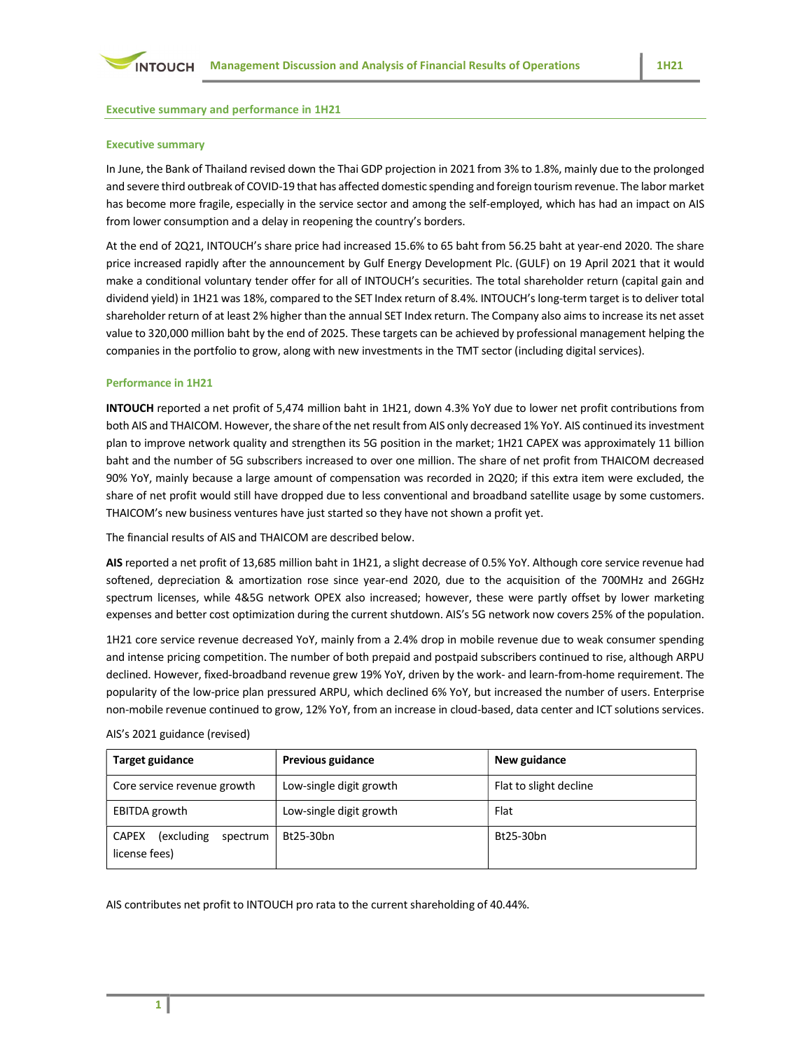### Executive summary and performance in 1H21

### Executive summary

In June, the Bank of Thailand revised down the Thai GDP projection in 2021 from 3% to 1.8%, mainly due to the prolonged and severe third outbreak of COVID-19 that has affected domestic spending and foreign tourism revenue. The labor market has become more fragile, especially in the service sector and among the self-employed, which has had an impact on AIS from lower consumption and a delay in reopening the country's borders.

At the end of 2Q21, INTOUCH's share price had increased 15.6% to 65 baht from 56.25 baht at year-end 2020. The share price increased rapidly after the announcement by Gulf Energy Development Plc. (GULF) on 19 April 2021 that it would make a conditional voluntary tender offer for all of INTOUCH's securities. The total shareholder return (capital gain and dividend yield) in 1H21 was 18%, compared to the SET Index return of 8.4%. INTOUCH's long-term target is to deliver total shareholder return of at least 2% higher than the annual SET Index return. The Company also aims to increase its net asset value to 320,000 million baht by the end of 2025. These targets can be achieved by professional management helping the companies in the portfolio to grow, along with new investments in the TMT sector (including digital services).

### Performance in 1H21

INTOUCH reported a net profit of 5,474 million baht in 1H21, down 4.3% YoY due to lower net profit contributions from both AIS and THAICOM. However, the share of the net result from AIS only decreased 1% YoY. AIS continued its investment plan to improve network quality and strengthen its 5G position in the market; 1H21 CAPEX was approximately 11 billion baht and the number of 5G subscribers increased to over one million. The share of net profit from THAICOM decreased 90% YoY, mainly because a large amount of compensation was recorded in 2Q20; if this extra item were excluded, the share of net profit would still have dropped due to less conventional and broadband satellite usage by some customers. THAICOM's new business ventures have just started so they have not shown a profit yet.

The financial results of AIS and THAICOM are described below.

AIS reported a net profit of 13,685 million baht in 1H21, a slight decrease of 0.5% YoY. Although core service revenue had softened, depreciation & amortization rose since year-end 2020, due to the acquisition of the 700MHz and 26GHz spectrum licenses, while 4&5G network OPEX also increased; however, these were partly offset by lower marketing expenses and better cost optimization during the current shutdown. AIS's 5G network now covers 25% of the population.

1H21 core service revenue decreased YoY, mainly from a 2.4% drop in mobile revenue due to weak consumer spending and intense pricing competition. The number of both prepaid and postpaid subscribers continued to rise, although ARPU declined. However, fixed-broadband revenue grew 19% YoY, driven by the work- and learn-from-home requirement. The popularity of the low-price plan pressured ARPU, which declined 6% YoY, but increased the number of users. Enterprise non-mobile revenue continued to grow, 12% YoY, from an increase in cloud-based, data center and ICT solutions services.

| <b>Target guidance</b>                                   | <b>Previous guidance</b> | New guidance           |
|----------------------------------------------------------|--------------------------|------------------------|
| Core service revenue growth                              | Low-single digit growth  | Flat to slight decline |
| EBITDA growth                                            | Low-single digit growth  | Flat                   |
| (excluding)<br><b>CAPEX</b><br>spectrum<br>license fees) | Bt25-30bn                | Bt25-30bn              |

AIS's 2021 guidance (revised)

AIS contributes net profit to INTOUCH pro rata to the current shareholding of 40.44%.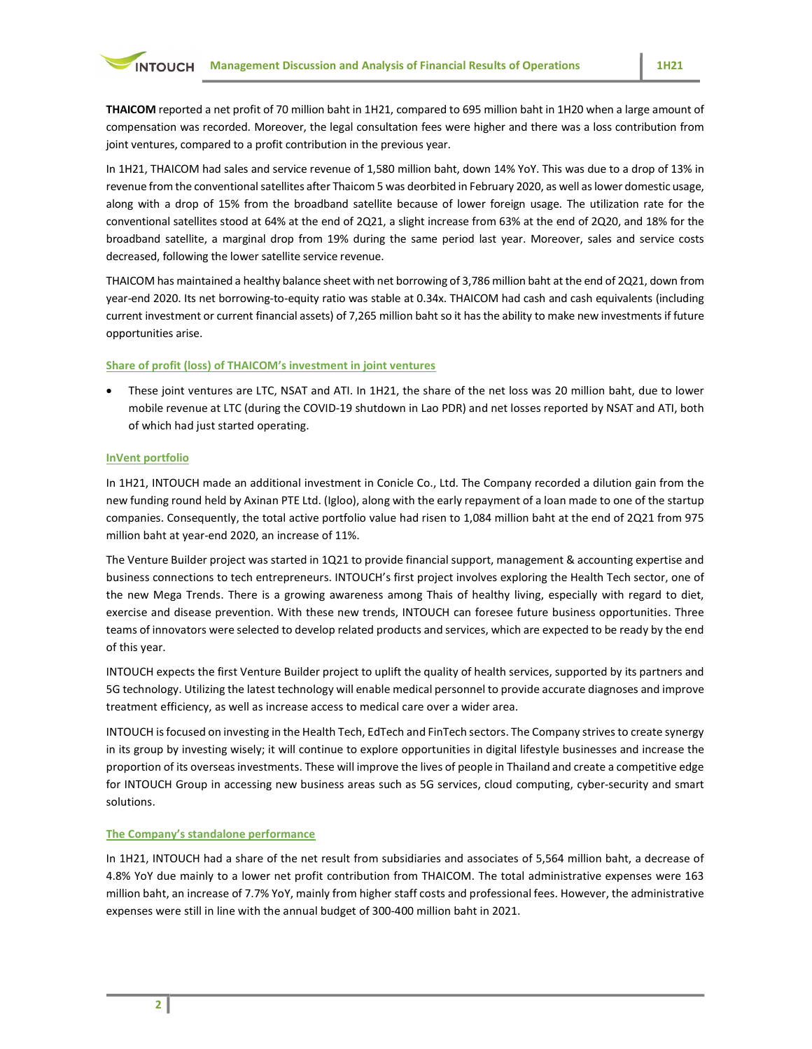THAICOM reported a net profit of 70 million baht in 1H21, compared to 695 million baht in 1H20 when a large amount of compensation was recorded. Moreover, the legal consultation fees were higher and there was a loss contribution from joint ventures, compared to a profit contribution in the previous year.

In 1H21, THAICOM had sales and service revenue of 1,580 million baht, down 14% YoY. This was due to a drop of 13% in revenue from the conventional satellites after Thaicom 5 was deorbited in February 2020, as well as lower domestic usage, along with a drop of 15% from the broadband satellite because of lower foreign usage. The utilization rate for the conventional satellites stood at 64% at the end of 2Q21, a slight increase from 63% at the end of 2Q20, and 18% for the broadband satellite, a marginal drop from 19% during the same period last year. Moreover, sales and service costs decreased, following the lower satellite service revenue.

THAICOM has maintained a healthy balance sheet with net borrowing of 3,786 million baht at the end of 2Q21, down from year-end 2020. Its net borrowing-to-equity ratio was stable at 0.34x. THAICOM had cash and cash equivalents (including current investment or current financial assets) of 7,265 million baht so it has the ability to make new investments if future opportunities arise.

# Share of profit (loss) of THAICOM's investment in joint ventures

 These joint ventures are LTC, NSAT and ATI. In 1H21, the share of the net loss was 20 million baht, due to lower mobile revenue at LTC (during the COVID-19 shutdown in Lao PDR) and net losses reported by NSAT and ATI, both of which had just started operating.

# InVent portfolio

In 1H21, INTOUCH made an additional investment in Conicle Co., Ltd. The Company recorded a dilution gain from the new funding round held by Axinan PTE Ltd. (Igloo), along with the early repayment of a loan made to one of the startup companies. Consequently, the total active portfolio value had risen to 1,084 million baht at the end of 2Q21 from 975 million baht at year-end 2020, an increase of 11%.

The Venture Builder project was started in 1Q21 to provide financial support, management & accounting expertise and business connections to tech entrepreneurs. INTOUCH's first project involves exploring the Health Tech sector, one of the new Mega Trends. There is a growing awareness among Thais of healthy living, especially with regard to diet, exercise and disease prevention. With these new trends, INTOUCH can foresee future business opportunities. Three teams of innovators were selected to develop related products and services, which are expected to be ready by the end of this year.

INTOUCH expects the first Venture Builder project to uplift the quality of health services, supported by its partners and 5G technology. Utilizing the latest technology will enable medical personnel to provide accurate diagnoses and improve treatment efficiency, as well as increase access to medical care over a wider area.

INTOUCH is focused on investing in the Health Tech, EdTech and FinTech sectors. The Company strives to create synergy in its group by investing wisely; it will continue to explore opportunities in digital lifestyle businesses and increase the proportion of its overseas investments. These will improve the lives of people in Thailand and create a competitive edge for INTOUCH Group in accessing new business areas such as 5G services, cloud computing, cyber-security and smart solutions.

### The Company's standalone performance

In 1H21, INTOUCH had a share of the net result from subsidiaries and associates of 5,564 million baht, a decrease of 4.8% YoY due mainly to a lower net profit contribution from THAICOM. The total administrative expenses were 163 million baht, an increase of 7.7% YoY, mainly from higher staff costs and professional fees. However, the administrative expenses were still in line with the annual budget of 300-400 million baht in 2021.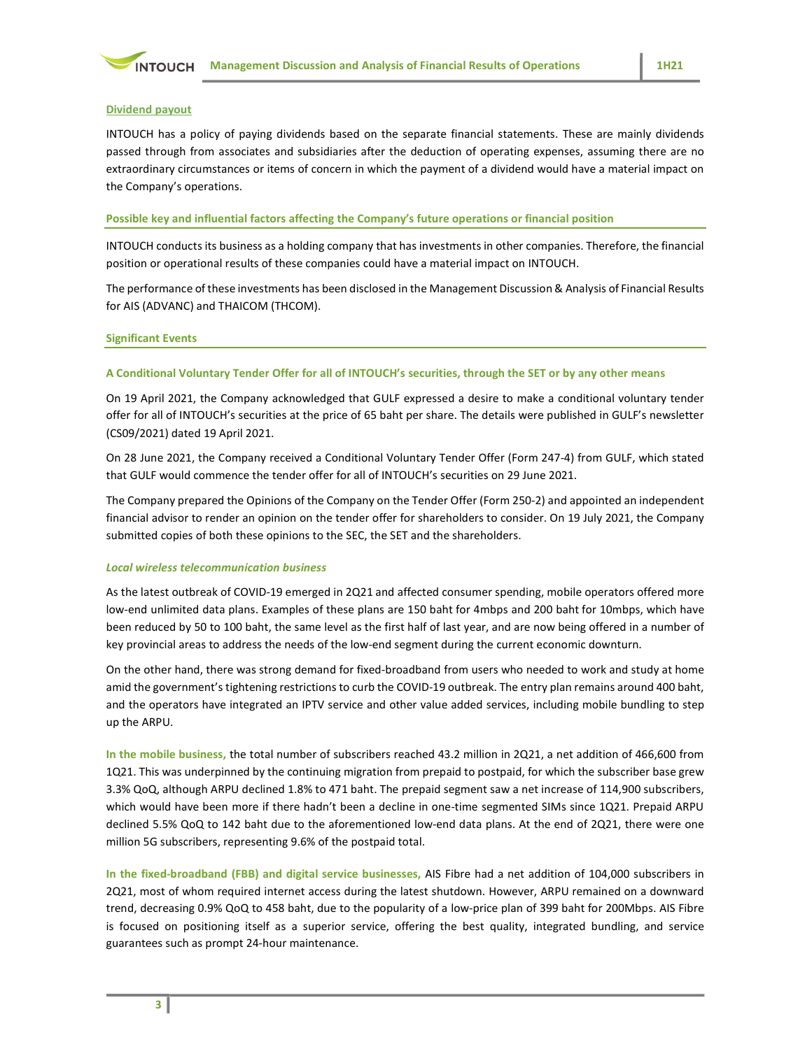

#### Dividend payout

INTOUCH has a policy of paying dividends based on the separate financial statements. These are mainly dividends passed through from associates and subsidiaries after the deduction of operating expenses, assuming there are no extraordinary circumstances or items of concern in which the payment of a dividend would have a material impact on the Company's operations.

#### Possible key and influential factors affecting the Company's future operations or financial position

INTOUCH conducts its business as a holding company that has investments in other companies. Therefore, the financial position or operational results of these companies could have a material impact on INTOUCH.

The performance of these investments has been disclosed in the Management Discussion & Analysis of Financial Results for AIS (ADVANC) and THAICOM (THCOM).

#### Significant Events

#### A Conditional Voluntary Tender Offer for all of INTOUCH's securities, through the SET or by any other means

On 19 April 2021, the Company acknowledged that GULF expressed a desire to make a conditional voluntary tender offer for all of INTOUCH's securities at the price of 65 baht per share. The details were published in GULF's newsletter (CS09/2021) dated 19 April 2021.

On 28 June 2021, the Company received a Conditional Voluntary Tender Offer (Form 247-4) from GULF, which stated that GULF would commence the tender offer for all of INTOUCH's securities on 29 June 2021.

The Company prepared the Opinions of the Company on the Tender Offer (Form 250-2) and appointed an independent financial advisor to render an opinion on the tender offer for shareholders to consider. On 19 July 2021, the Company submitted copies of both these opinions to the SEC, the SET and the shareholders.

### Local wireless telecommunication business

As the latest outbreak of COVID-19 emerged in 2Q21 and affected consumer spending, mobile operators offered more low-end unlimited data plans. Examples of these plans are 150 baht for 4mbps and 200 baht for 10mbps, which have been reduced by 50 to 100 baht, the same level as the first half of last year, and are now being offered in a number of key provincial areas to address the needs of the low-end segment during the current economic downturn.

On the other hand, there was strong demand for fixed-broadband from users who needed to work and study at home amid the government's tightening restrictions to curb the COVID-19 outbreak. The entry plan remains around 400 baht, and the operators have integrated an IPTV service and other value added services, including mobile bundling to step up the ARPU.

In the mobile business, the total number of subscribers reached 43.2 million in 2Q21, a net addition of 466,600 from 1Q21. This was underpinned by the continuing migration from prepaid to postpaid, for which the subscriber base grew 3.3% QoQ, although ARPU declined 1.8% to 471 baht. The prepaid segment saw a net increase of 114,900 subscribers, which would have been more if there hadn't been a decline in one-time segmented SIMs since 1Q21. Prepaid ARPU declined 5.5% QoQ to 142 baht due to the aforementioned low-end data plans. At the end of 2Q21, there were one million 5G subscribers, representing 9.6% of the postpaid total.

In the fixed-broadband (FBB) and digital service businesses, AIS Fibre had a net addition of 104,000 subscribers in 2Q21, most of whom required internet access during the latest shutdown. However, ARPU remained on a downward trend, decreasing 0.9% QoQ to 458 baht, due to the popularity of a low-price plan of 399 baht for 200Mbps. AIS Fibre is focused on positioning itself as a superior service, offering the best quality, integrated bundling, and service guarantees such as prompt 24-hour maintenance.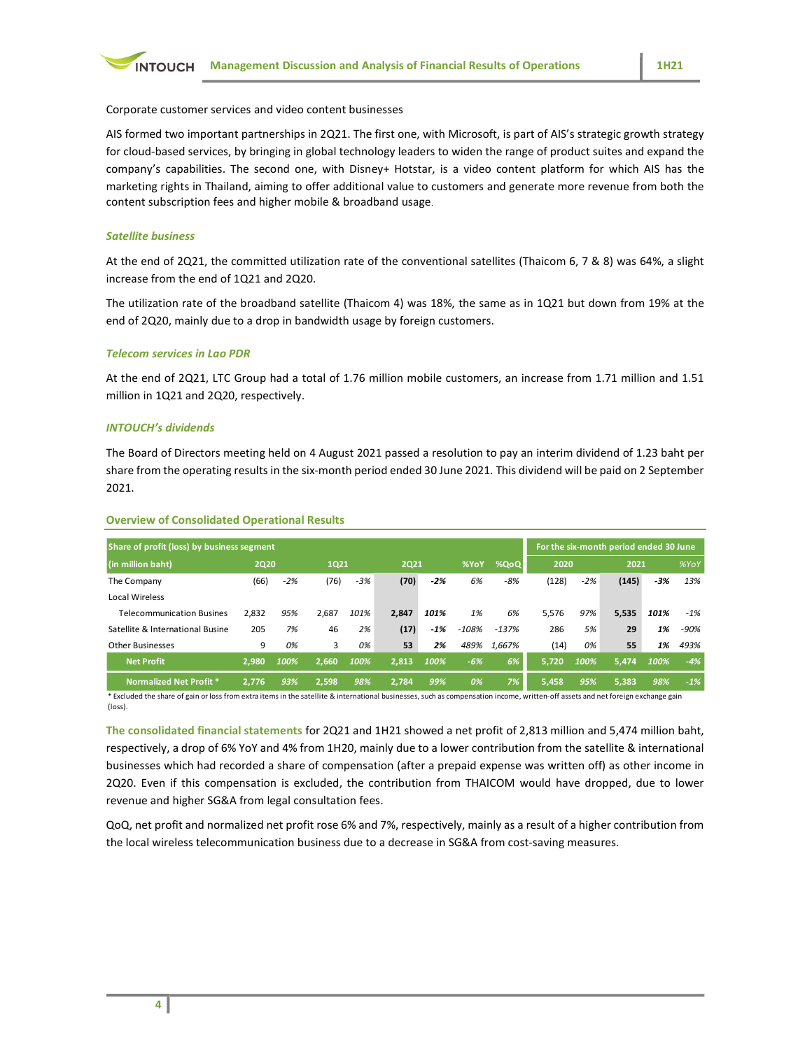

Corporate customer services and video content businesses

AIS formed two important partnerships in 2Q21. The first one, with Microsoft, is part of AIS's strategic growth strategy for cloud-based services, by bringing in global technology leaders to widen the range of product suites and expand the company's capabilities. The second one, with Disney+ Hotstar, is a video content platform for which AIS has the marketing rights in Thailand, aiming to offer additional value to customers and generate more revenue from both the content subscription fees and higher mobile & broadband usage.

### Satellite business

#### Telecom services in Lao PDR

### INTOUCH's dividends

| At the end of 2Q21, the committed utilization rate of the conventional satellites (Thaicom 6, 7 & 8) was 64%, a slight<br>increase from the end of 1Q21 and 2Q20.                                                                              |                     |      |                     |      |                     |      |            |               |               |       |                                        |            |             |
|------------------------------------------------------------------------------------------------------------------------------------------------------------------------------------------------------------------------------------------------|---------------------|------|---------------------|------|---------------------|------|------------|---------------|---------------|-------|----------------------------------------|------------|-------------|
| The utilization rate of the broadband satellite (Thaicom 4) was 18%, the same as in 1Q21 but down from 19% at the<br>end of 2Q20, mainly due to a drop in bandwidth usage by foreign customers.                                                |                     |      |                     |      |                     |      |            |               |               |       |                                        |            |             |
| <b>Telecom services in Lao PDR</b>                                                                                                                                                                                                             |                     |      |                     |      |                     |      |            |               |               |       |                                        |            |             |
| At the end of 2Q21, LTC Group had a total of 1.76 million mobile customers, an increase from 1.71 million and 1.51<br>million in 1Q21 and 2Q20, respectively.                                                                                  |                     |      |                     |      |                     |      |            |               |               |       |                                        |            |             |
| <b>INTOUCH's dividends</b>                                                                                                                                                                                                                     |                     |      |                     |      |                     |      |            |               |               |       |                                        |            |             |
| The Board of Directors meeting held on 4 August 2021 passed a resolution to pay an interim dividend of 1.23 baht per<br>share from the operating results in the six-month period ended 30 June 2021. This dividend will be paid on 2 September |                     |      |                     |      |                     |      |            |               |               |       |                                        |            |             |
| 2021.<br><b>Overview of Consolidated Operational Results</b>                                                                                                                                                                                   |                     |      |                     |      |                     |      |            |               |               |       |                                        |            |             |
| Share of profit (loss) by business segment                                                                                                                                                                                                     |                     |      |                     |      |                     |      |            |               |               |       | For the six-month period ended 30 June |            |             |
| (in million baht)<br>The Company<br><b>Local Wireless</b>                                                                                                                                                                                      | <b>2Q20</b><br>(66) | -2%  | <b>1Q21</b><br>(76) | -3%  | <b>2Q21</b><br>(70) | -2%  | %YoY<br>6% | %QoQ<br>$-8%$ | 2020<br>(128) | $-2%$ | 2021<br>(145)                          | -3%        | %YoY<br>13% |
| <b>Telecommunication Busines</b>                                                                                                                                                                                                               | 2,832               | 95%  | 2,687               | 101% | 2,847               | 101% | 1%         | 6%            | 5,576         | 97%   |                                        | 5,535 101% | -1%         |
| Satellite & International Busine                                                                                                                                                                                                               | 205                 | 7%   | 46                  | 2%   | (17)                | -1%  | -108%      | $-137%$       | 286           | 5%    | 29                                     | 1%         | -90%        |
| <b>Other Businesses</b>                                                                                                                                                                                                                        | 9                   | 0%   | 3                   | 0%   | 53                  | 2%   |            | 489% 1,667%   | (14)          | 0%    | 55                                     | 1%         | 493%        |
| <b>Net Profit</b>                                                                                                                                                                                                                              | 2,980               | 100% | 2,660               | 100% | 2,813               | 100% | -6%        | 6%            | 5,720 100%    |       | 5,474                                  | 100%       | $-4%$       |
| Normalized Net Profit *                                                                                                                                                                                                                        | 2,776               | 93%  | 2,598               | 98%  | 2,784               | 99%  | 0%         | 7%            | 5,458         | 95%   | 5,383                                  | 98%        | $-1%$       |
| * Excluded the share of gain or loss from extra items in the satellite & international businesses, such as compensation income, written-off assets and net foreign exchange gain<br>(loss).                                                    |                     |      |                     |      |                     |      |            |               |               |       |                                        |            |             |
|                                                                                                                                                                                                                                                |                     |      |                     |      |                     |      |            |               |               |       |                                        |            |             |
| The consolidated financial statements for 2Q21 and 1H21 showed a net profit of 2,813 million and 5,474 million baht,<br>respectively, a drop of 6% YoY and 4% from 1H20, mainly due to a lower contribution from the satellite & international |                     |      |                     |      |                     |      |            |               |               |       |                                        |            |             |

#### Overview of Consolidated Operational Results

The consolidated financial statements for 2Q21 and 1H21 showed a net profit of 2,813 million and 5,474 million baht, respectively, a drop of 6% YoY and 4% from 1H20, mainly due to a lower contribution from the satellite & international businesses which had recorded a share of compensation (after a prepaid expense was written off) as other income in 2Q20. Even if this compensation is excluded, the contribution from THAICOM would have dropped, due to lower revenue and higher SG&A from legal consultation fees.

QoQ, net profit and normalized net profit rose 6% and 7%, respectively, mainly as a result of a higher contribution from the local wireless telecommunication business due to a decrease in SG&A from cost-saving measures.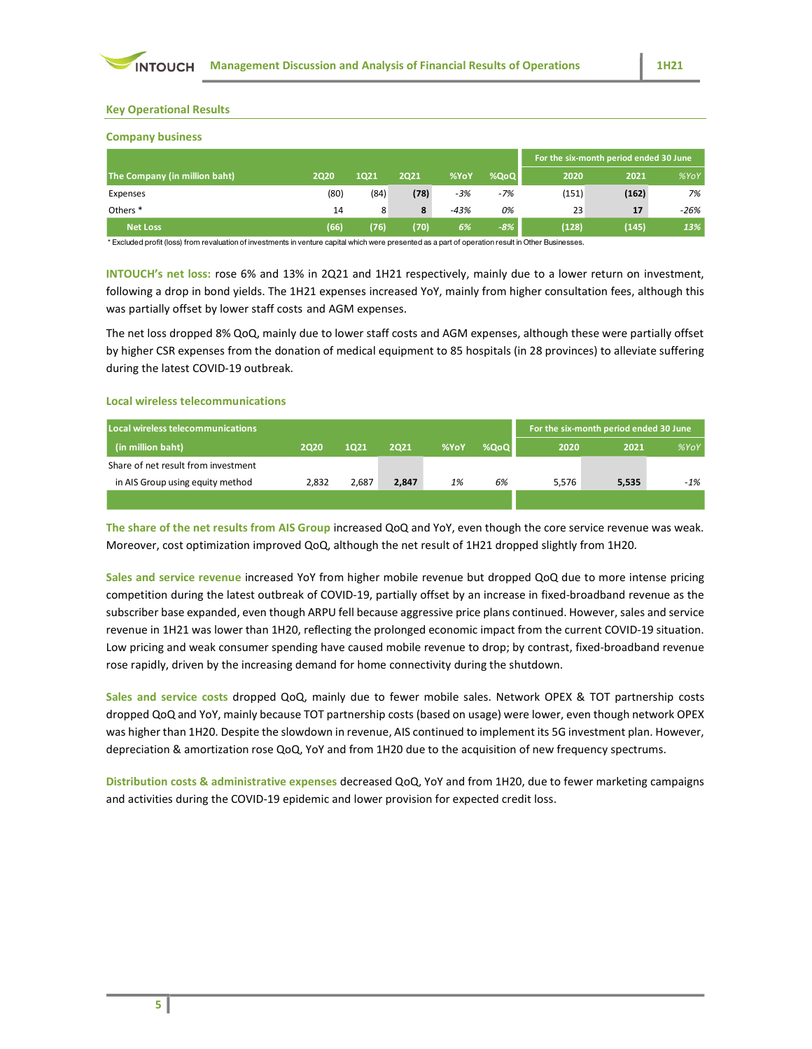

### Key Operational Results

# Company business

| <b>Key Operational Results</b>                                                                                                                                                                                                                                                                                                                                                                                                                                                                                                                                                                                                              |             |       |             |      |       |                                        |       |      |
|---------------------------------------------------------------------------------------------------------------------------------------------------------------------------------------------------------------------------------------------------------------------------------------------------------------------------------------------------------------------------------------------------------------------------------------------------------------------------------------------------------------------------------------------------------------------------------------------------------------------------------------------|-------------|-------|-------------|------|-------|----------------------------------------|-------|------|
| <b>Company business</b>                                                                                                                                                                                                                                                                                                                                                                                                                                                                                                                                                                                                                     |             |       |             |      |       | For the six-month period ended 30 June |       |      |
| The Company (in million baht)                                                                                                                                                                                                                                                                                                                                                                                                                                                                                                                                                                                                               | <b>2Q20</b> | 1Q21  | <b>2Q21</b> | %YoY | %QoQ  | 2020                                   | 2021  | %YoY |
| Expenses                                                                                                                                                                                                                                                                                                                                                                                                                                                                                                                                                                                                                                    | (80)        | (84)  | (78)        | -3%  | $-7%$ | (151)                                  | (162) | 7%   |
| Others <sup>*</sup>                                                                                                                                                                                                                                                                                                                                                                                                                                                                                                                                                                                                                         | 14          | 8     | 8           | -43% | 0%    | 23                                     | 17    | -26% |
| <b>Net Loss</b>                                                                                                                                                                                                                                                                                                                                                                                                                                                                                                                                                                                                                             | (66)        | (76)  | (70)        | 6%   | $-8%$ | (128)                                  | (145) | 13%  |
|                                                                                                                                                                                                                                                                                                                                                                                                                                                                                                                                                                                                                                             |             |       |             |      |       |                                        |       |      |
| INTOUCH's net loss: rose 6% and 13% in 2Q21 and 1H21 respectively, mainly due to a lower return on investment,<br>following a drop in bond yields. The 1H21 expenses increased YoY, mainly from higher consultation fees, although this<br>was partially offset by lower staff costs and AGM expenses.<br>The net loss dropped 8% QoQ, mainly due to lower staff costs and AGM expenses, although these were partially offset<br>by higher CSR expenses from the donation of medical equipment to 85 hospitals (in 28 provinces) to alleviate suffering<br>during the latest COVID-19 outbreak.<br><b>Local wireless telecommunications</b> |             |       |             |      |       |                                        |       |      |
| Local wireless telecommunications                                                                                                                                                                                                                                                                                                                                                                                                                                                                                                                                                                                                           |             |       |             |      |       | For the six-month period ended 30 June |       |      |
| (in million baht)                                                                                                                                                                                                                                                                                                                                                                                                                                                                                                                                                                                                                           | <b>2Q20</b> | 1Q21  | <b>2Q21</b> | %YoY | %QoQ  | 2020                                   | 2021  | %YOY |
| Share of net result from investment<br>in AIS Group using equity method                                                                                                                                                                                                                                                                                                                                                                                                                                                                                                                                                                     | 2,832       | 2,687 | 2,847       | 1%   | 6%    | 5,576                                  | 5,535 | -1%  |

#### Local wireless telecommunications

| Local wireless telecommunications   |       |       |       |      |      |       | For the six-month period ended 30 June |       |
|-------------------------------------|-------|-------|-------|------|------|-------|----------------------------------------|-------|
| (in million baht)                   | 2020  | 1021  | 2021  | %YoY | %QoQ | 2020  | 2021                                   | %YoY  |
| Share of net result from investment |       |       |       |      |      |       |                                        |       |
| in AIS Group using equity method    | 2,832 | 2,687 | 2,847 | 1%   | 6%   | 5,576 | 5,535                                  | $-1%$ |
|                                     |       |       |       |      |      |       |                                        |       |

Sales and service revenue increased YoY from higher mobile revenue but dropped QoQ due to more intense pricing competition during the latest outbreak of COVID-19, partially offset by an increase in fixed-broadband revenue as the subscriber base expanded, even though ARPU fell because aggressive price plans continued. However, sales and service revenue in 1H21 was lower than 1H20, reflecting the prolonged economic impact from the current COVID-19 situation. Low pricing and weak consumer spending have caused mobile revenue to drop; by contrast, fixed-broadband revenue rose rapidly, driven by the increasing demand for home connectivity during the shutdown.

Sales and service costs dropped QoQ, mainly due to fewer mobile sales. Network OPEX & TOT partnership costs dropped QoQ and YoY, mainly because TOT partnership costs (based on usage) were lower, even though network OPEX was higher than 1H20. Despite the slowdown in revenue, AIS continued to implement its 5G investment plan. However, depreciation & amortization rose QoQ, YoY and from 1H20 due to the acquisition of new frequency spectrums.

Distribution costs & administrative expenses decreased QoQ, YoY and from 1H20, due to fewer marketing campaigns and activities during the COVID-19 epidemic and lower provision for expected credit loss.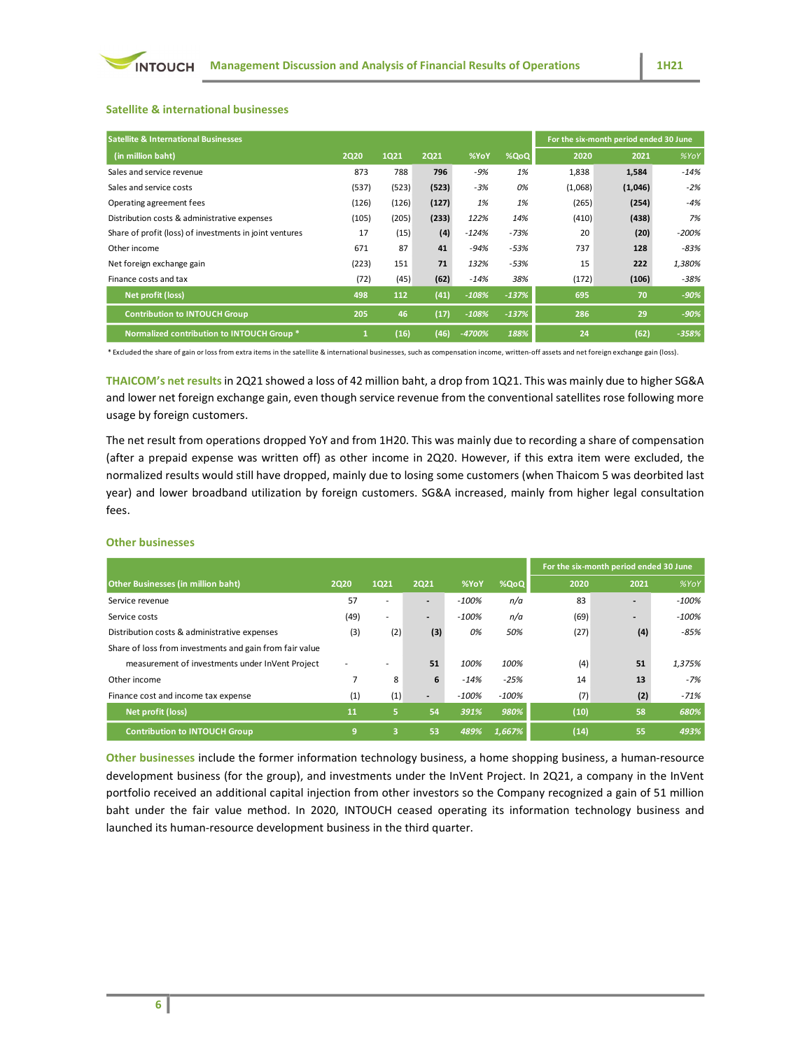# Satellite & international businesses

|                                                                                                                                                                                          |              |       |             |         |         |                                        |         | 1H21    |
|------------------------------------------------------------------------------------------------------------------------------------------------------------------------------------------|--------------|-------|-------------|---------|---------|----------------------------------------|---------|---------|
| <b>INTOUCH</b><br><b>Management Discussion and Analysis of Financial Results of Operations</b>                                                                                           |              |       |             |         |         |                                        |         |         |
|                                                                                                                                                                                          |              |       |             |         |         |                                        |         |         |
|                                                                                                                                                                                          |              |       |             |         |         |                                        |         |         |
| <b>Satellite &amp; international businesses</b>                                                                                                                                          |              |       |             |         |         |                                        |         |         |
|                                                                                                                                                                                          |              |       |             |         |         |                                        |         |         |
| <b>Satellite &amp; International Businesses</b>                                                                                                                                          |              |       |             |         |         | For the six-month period ended 30 June |         |         |
| (in million baht)                                                                                                                                                                        | <b>2Q20</b>  | 1Q21  | <b>2Q21</b> | %YoY    | %QoQ    | 2020                                   | 2021    | %YoY    |
| Sales and service revenue                                                                                                                                                                | 873          | 788   | 796         | -9%     | 1%      | 1,838                                  | 1,584   | $-14%$  |
| Sales and service costs                                                                                                                                                                  | (537)        | (523) | (523)       | $-3%$   | 0%      | (1,068)                                | (1,046) | $-2%$   |
|                                                                                                                                                                                          | (126)        | (126) | (127)       | 1%      | 1%      | (265)                                  | (254)   | $-4%$   |
| Operating agreement fees                                                                                                                                                                 |              |       | (233)       | 122%    | 14%     | (410)                                  | (438)   | 7%      |
| Distribution costs & administrative expenses                                                                                                                                             | (105)        | (205) |             |         |         |                                        | (20)    | $-200%$ |
| Share of profit (loss) of investments in joint ventures                                                                                                                                  | 17           | (15)  | (4)         | $-124%$ | $-73%$  | 20                                     |         |         |
| Other income                                                                                                                                                                             | 671          | 87    | 41          | $-94%$  | $-53%$  | 737                                    | 128     | $-83%$  |
| Net foreign exchange gain                                                                                                                                                                | (223)        | 151   | 71          | 132%    | $-53%$  | 15                                     | 222     | 1,380%  |
| Finance costs and tax                                                                                                                                                                    | (72)         | (45)  | (62)        | $-14%$  | 38%     | (172)                                  | (106)   | $-38%$  |
| Net profit (loss)                                                                                                                                                                        | 498          | 112   | (41)        | $-108%$ | $-137%$ | 695                                    | 70      | $-90%$  |
| <b>Contribution to INTOUCH Group</b>                                                                                                                                                     | 205          | 46    | (17)        | $-108%$ | $-137%$ | 286                                    | 29      | $-90%$  |
| Normalized contribution to INTOUCH Group *                                                                                                                                               | $\mathbf{1}$ | (16)  | (46)        | -4700%  | 188%    | 24                                     | (62)    | $-358%$ |
| * Excluded the share of gain or loss from extra items in the satellite & international businesses, such as compensation income, written-off assets and net foreign exchange gain (loss). |              |       |             |         |         |                                        |         |         |

### Other businesses

| <b>Other Income</b>                                                                                                                                                                      | 01 T           | $\circ$        |                          | -947    | -၁၁%    | 131                                    | TTO   | -8370   |
|------------------------------------------------------------------------------------------------------------------------------------------------------------------------------------------|----------------|----------------|--------------------------|---------|---------|----------------------------------------|-------|---------|
| Net foreign exchange gain                                                                                                                                                                | (223)          | 151            | 71                       | 132%    | $-53%$  | 15                                     | 222   | 1,380%  |
| Finance costs and tax                                                                                                                                                                    | (72)           | (45)           | (62)                     | $-14%$  | 38%     | (172)                                  | (106) | $-38%$  |
| Net profit (loss)                                                                                                                                                                        | 498            | 112            | (41)                     | $-108%$ | $-137%$ | 695                                    | 70    | $-90%$  |
| <b>Contribution to INTOUCH Group</b>                                                                                                                                                     | 205            | 46             | (17)                     | $-108%$ | $-137%$ | 286                                    | 29    | $-90%$  |
| Normalized contribution to INTOUCH Group *                                                                                                                                               | $\mathbf{1}$   | (16)           | (46)                     | -4700%  | 188%    | 24                                     | (62)  | $-358%$ |
| * Excluded the share of gain or loss from extra items in the satellite & international businesses, such as compensation income, written-off assets and net foreign exchange gain (loss). |                |                |                          |         |         |                                        |       |         |
| THAICOM's net results in 2Q21 showed a loss of 42 million baht, a drop from 1Q21. This was mainly due to higher SG&A                                                                     |                |                |                          |         |         |                                        |       |         |
|                                                                                                                                                                                          |                |                |                          |         |         |                                        |       |         |
| and lower net foreign exchange gain, even though service revenue from the conventional satellites rose following more                                                                    |                |                |                          |         |         |                                        |       |         |
| usage by foreign customers.                                                                                                                                                              |                |                |                          |         |         |                                        |       |         |
| The net result from operations dropped YoY and from 1H20. This was mainly due to recording a share of compensation                                                                       |                |                |                          |         |         |                                        |       |         |
| (after a prepaid expense was written off) as other income in 2Q20. However, if this extra item were excluded, the                                                                        |                |                |                          |         |         |                                        |       |         |
|                                                                                                                                                                                          |                |                |                          |         |         |                                        |       |         |
| normalized results would still have dropped, mainly due to losing some customers (when Thaicom 5 was deorbited last                                                                      |                |                |                          |         |         |                                        |       |         |
| year) and lower broadband utilization by foreign customers. SG&A increased, mainly from higher legal consultation                                                                        |                |                |                          |         |         |                                        |       |         |
| tees.                                                                                                                                                                                    |                |                |                          |         |         |                                        |       |         |
|                                                                                                                                                                                          |                |                |                          |         |         |                                        |       |         |
| <b>Other businesses</b>                                                                                                                                                                  |                |                |                          |         |         |                                        |       |         |
|                                                                                                                                                                                          |                |                |                          |         |         | For the six-month period ended 30 June |       |         |
| <b>Other Businesses (in million baht)</b>                                                                                                                                                | <b>2Q20</b>    | <b>1Q21</b>    | <b>2Q21</b>              | %YoY    | %QoQ    | 2020                                   | 2021  | %Y      |
| Service revenue                                                                                                                                                                          | 57             |                | $\sim$                   | $-100%$ | n/a     | 83                                     |       | $-100%$ |
|                                                                                                                                                                                          |                |                |                          |         |         |                                        |       |         |
| Service costs                                                                                                                                                                            | (49)           |                |                          | $-100%$ | n/a     | (69)                                   |       | $-100%$ |
| Distribution costs & administrative expenses                                                                                                                                             | (3)            | (2)            | (3)                      | 0%      | 50%     | (27)                                   | (4)   | -85%    |
| Share of loss from investments and gain from fair value                                                                                                                                  |                |                |                          |         |         |                                        |       |         |
| measurement of investments under InVent Project                                                                                                                                          |                |                | 51                       | 100%    | 100%    | (4)                                    | 51    | 1,375%  |
| Other income                                                                                                                                                                             | $\overline{7}$ | 8              | 6                        | $-14%$  | $-25%$  | 14                                     | 13    | -7%     |
| Finance cost and income tax expense                                                                                                                                                      | (1)            | (1)            | $\overline{\phantom{a}}$ | $-100%$ | $-100%$ | (7)                                    | (2)   | $-71%$  |
| Net profit (loss)                                                                                                                                                                        | 11             | 5              | 54                       | 391%    | 980%    | (10)                                   | 58    | 680%    |
| <b>Contribution to INTOUCH Group</b>                                                                                                                                                     | 9 <sup>°</sup> | 3 <sup>2</sup> | 53                       | 489%    | 1,667%  | (14)                                   | 55    | 493%    |
|                                                                                                                                                                                          |                |                |                          |         |         |                                        |       |         |
| Other businesses include the former information technology business, a home shopping business, a human-resource                                                                          |                |                |                          |         |         |                                        |       |         |
| development business (for the group), and investments under the InVent Project. In 2Q21, a company in the InVent                                                                         |                |                |                          |         |         |                                        |       |         |
| portfolio received an additional capital injection from other investors so the Company recognized a gain of 51 million                                                                   |                |                |                          |         |         |                                        |       |         |
|                                                                                                                                                                                          |                |                |                          |         |         |                                        |       |         |
| baht under the fair value method. In 2020, INTOUCH ceased operating its information technology business and                                                                              |                |                |                          |         |         |                                        |       |         |
| launched its human-resource develonment husiness in the third quarter                                                                                                                    |                |                |                          |         |         |                                        |       |         |

Other businesses include the former information technology business, a home shopping business, a human-resource development business (for the group), and investments under the InVent Project. In 2Q21, a company in the InVent portfolio received an additional capital injection from other investors so the Company recognized a gain of 51 million baht under the fair value method. In 2020, INTOUCH ceased operating its information technology business and launched its human-resource development business in the third quarter.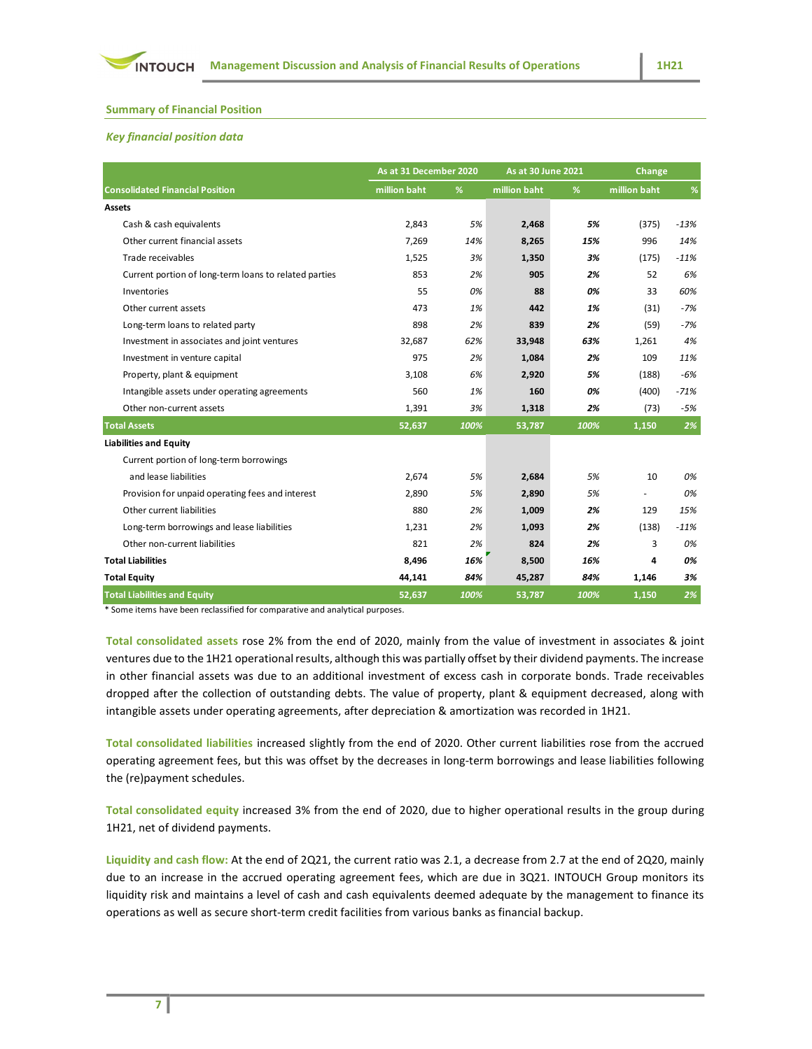# Summary of Financial Position

# Key financial position data

| <b>Summary of Financial Position</b>                                                                                |                        |      |                    |      |              |        |
|---------------------------------------------------------------------------------------------------------------------|------------------------|------|--------------------|------|--------------|--------|
| <b>Key financial position data</b>                                                                                  |                        |      |                    |      |              |        |
|                                                                                                                     |                        |      |                    |      |              |        |
|                                                                                                                     | As at 31 December 2020 |      | As at 30 June 2021 |      | Change       |        |
| <b>Consolidated Financial Position</b>                                                                              | million baht           | %    | million baht       | $\%$ | million baht |        |
| Assets                                                                                                              |                        |      |                    |      |              |        |
| Cash & cash equivalents                                                                                             | 2,843                  | 5%   | 2,468              | 5%   | (375)        | $-13%$ |
| Other current financial assets                                                                                      | 7,269                  | 14%  | 8,265              | 15%  | 996          | 14%    |
| Trade receivables                                                                                                   | 1,525                  | 3%   | 1,350              | 3%   | (175)        | $-11%$ |
| Current portion of long-term loans to related parties                                                               | 853                    | 2%   | 905                | 2%   | 52           | 6%     |
| Inventories                                                                                                         | 55                     | 0%   | 88                 | 0%   | 33           | 60%    |
| Other current assets                                                                                                | 473                    | 1%   | 442                | 1%   | (31)         | $-7%$  |
| Long-term loans to related party                                                                                    | 898                    | 2%   | 839                | 2%   | (59)         | -7%    |
| Investment in associates and joint ventures                                                                         | 32,687                 | 62%  | 33,948             | 63%  | 1,261        | 4%     |
| Investment in venture capital                                                                                       | 975                    | 2%   | 1,084              | 2%   | 109          | 11%    |
| Property, plant & equipment                                                                                         | 3,108                  | 6%   | 2,920              | 5%   | (188)        | -6%    |
| Intangible assets under operating agreements                                                                        | 560                    | 1%   | 160                | 0%   | (400)        | $-71%$ |
| Other non-current assets                                                                                            | 1,391                  | 3%   | 1,318              | 2%   | (73)         | -5%    |
| <b>Total Assets</b>                                                                                                 | 52,637                 | 100% | 53,787             | 100% | 1,150        | 2%     |
| <b>Liabilities and Equity</b>                                                                                       |                        |      |                    |      |              |        |
| Current portion of long-term borrowings                                                                             |                        |      |                    |      |              |        |
| and lease liabilities                                                                                               | 2,674                  | 5%   | 2,684              | 5%   | 10           | 0%     |
| Provision for unpaid operating fees and interest                                                                    | 2,890                  | 5%   | 2,890              | 5%   | $\sim$       | 0%     |
| Other current liabilities                                                                                           | 880                    | 2%   | 1,009              | 2%   | 129          | 15%    |
| Long-term borrowings and lease liabilities                                                                          | 1,231                  | 2%   | 1,093              | 2%   | (138)        | $-11%$ |
| Other non-current liabilities                                                                                       | 821                    | 2%   | 824                | 2%   | 3            | 0%     |
| <b>Total Liabilities</b>                                                                                            | 8,496                  | 16%  | 8,500              | 16%  | 4            | 0%     |
| <b>Total Equity</b>                                                                                                 | 44,141                 | 84%  | 45,287             | 84%  | 1,146        | 3%     |
| <b>Total Liabilities and Equity</b><br>* Some items have been reclassified for comparative and analytical purposes. | 52,637                 | 100% | 53,787             | 100% | 1,150        | 2%     |

Total consolidated assets rose 2% from the end of 2020, mainly from the value of investment in associates & joint ventures due to the 1H21 operational results, although this was partially offset by their dividend payments. The increase in other financial assets was due to an additional investment of excess cash in corporate bonds. Trade receivables dropped after the collection of outstanding debts. The value of property, plant & equipment decreased, along with intangible assets under operating agreements, after depreciation & amortization was recorded in 1H21.

Total consolidated liabilities increased slightly from the end of 2020. Other current liabilities rose from the accrued operating agreement fees, but this was offset by the decreases in long-term borrowings and lease liabilities following the (re)payment schedules.

Total consolidated equity increased 3% from the end of 2020, due to higher operational results in the group during 1H21, net of dividend payments.

Liquidity and cash flow: At the end of 2Q21, the current ratio was 2.1, a decrease from 2.7 at the end of 2Q20, mainly due to an increase in the accrued operating agreement fees, which are due in 3Q21. INTOUCH Group monitors its liquidity risk and maintains a level of cash and cash equivalents deemed adequate by the management to finance its operations as well as secure short-term credit facilities from various banks as financial backup.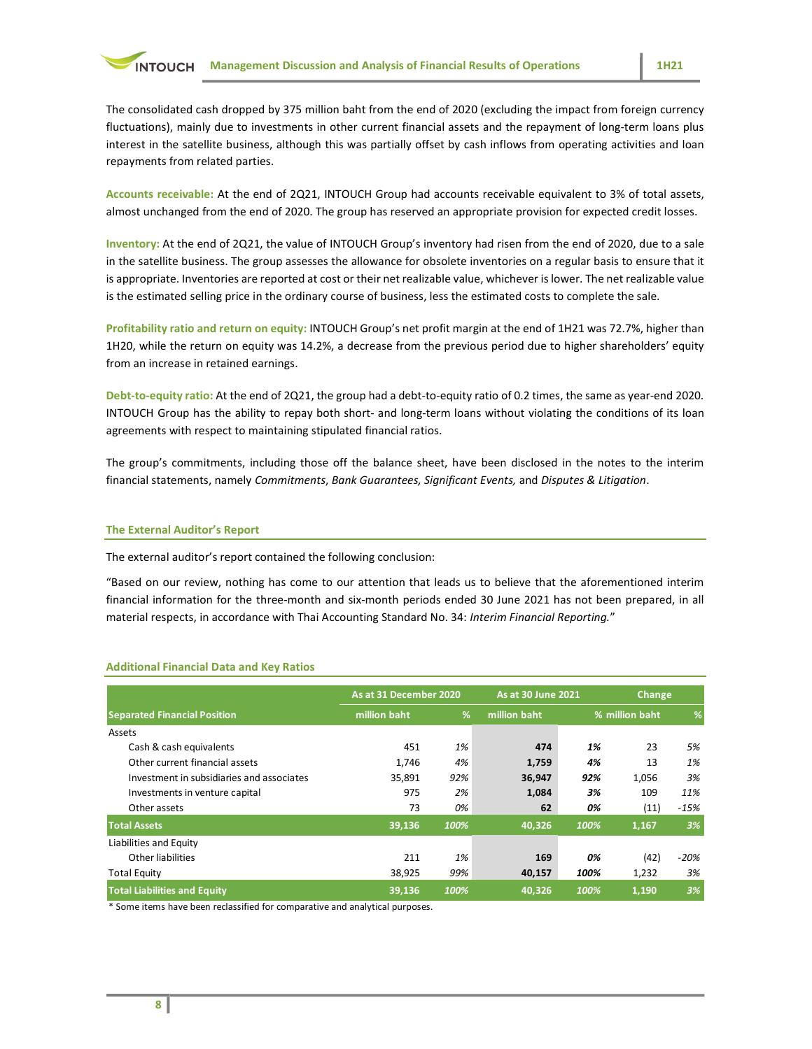The consolidated cash dropped by 375 million baht from the end of 2020 (excluding the impact from foreign currency fluctuations), mainly due to investments in other current financial assets and the repayment of long-term loans plus interest in the satellite business, although this was partially offset by cash inflows from operating activities and loan repayments from related parties.

Accounts receivable: At the end of 2Q21, INTOUCH Group had accounts receivable equivalent to 3% of total assets, almost unchanged from the end of 2020. The group has reserved an appropriate provision for expected credit losses.

Inventory: At the end of 2Q21, the value of INTOUCH Group's inventory had risen from the end of 2020, due to a sale in the satellite business. The group assesses the allowance for obsolete inventories on a regular basis to ensure that it is appropriate. Inventories are reported at cost or their net realizable value, whichever is lower. The net realizable value is the estimated selling price in the ordinary course of business, less the estimated costs to complete the sale.

Profitability ratio and return on equity: INTOUCH Group's net profit margin at the end of 1H21 was 72.7%, higher than 1H20, while the return on equity was 14.2%, a decrease from the previous period due to higher shareholders' equity from an increase in retained earnings.

#### The External Auditor's Report

| Debt-to-equity ratio: At the end of 2Q21, the group had a debt-to-equity ratio of 0.2 times, the same as year-end 2020.<br>INTOUCH Group has the ability to repay both short- and long-term loans without violating the conditions of its loan<br>agreements with respect to maintaining stipulated financial ratios.                                                                           |                        |      |                           |          |                |        |
|-------------------------------------------------------------------------------------------------------------------------------------------------------------------------------------------------------------------------------------------------------------------------------------------------------------------------------------------------------------------------------------------------|------------------------|------|---------------------------|----------|----------------|--------|
| The group's commitments, including those off the balance sheet, have been disclosed in the notes to the interim<br>financial statements, namely Commitments, Bank Guarantees, Significant Events, and Disputes & Litigation.                                                                                                                                                                    |                        |      |                           |          |                |        |
| <b>The External Auditor's Report</b>                                                                                                                                                                                                                                                                                                                                                            |                        |      |                           |          |                |        |
| The external auditor's report contained the following conclusion:                                                                                                                                                                                                                                                                                                                               |                        |      |                           |          |                |        |
| "Based on our review, nothing has come to our attention that leads us to believe that the aforementioned interim<br>financial information for the three-month and six-month periods ended 30 June 2021 has not been prepared, in all<br>material respects, in accordance with Thai Accounting Standard No. 34: Interim Financial Reporting."<br><b>Additional Financial Data and Key Ratios</b> |                        |      |                           |          |                |        |
|                                                                                                                                                                                                                                                                                                                                                                                                 |                        |      |                           |          |                |        |
|                                                                                                                                                                                                                                                                                                                                                                                                 | As at 31 December 2020 |      | <b>As at 30 June 2021</b> |          | Change         |        |
|                                                                                                                                                                                                                                                                                                                                                                                                 | million baht           | %    | million baht              |          | % million baht |        |
| <b>Separated Financial Position</b><br>Assets                                                                                                                                                                                                                                                                                                                                                   |                        |      |                           |          |                |        |
| Cash & cash equivalents                                                                                                                                                                                                                                                                                                                                                                         | 451                    | 1%   | 474                       | 1%       | 23             | 5%     |
| Other current financial assets                                                                                                                                                                                                                                                                                                                                                                  | 1,746                  | 4%   | 1,759                     | 4%       | 13             | 1%     |
| Investment in subsidiaries and associates                                                                                                                                                                                                                                                                                                                                                       | 35,891                 | 92%  | 36,947                    | 92%      | 1,056          | 3%     |
| Investments in venture capital                                                                                                                                                                                                                                                                                                                                                                  | 975<br>73              | 2%   | 1,084<br>62               | 3%<br>0% | 109            | 11%    |
| Other assets                                                                                                                                                                                                                                                                                                                                                                                    |                        | 0%   |                           |          | (11)           | $-15%$ |
| <b>Total Assets</b>                                                                                                                                                                                                                                                                                                                                                                             | 39,136                 | 100% | 40,326                    | 100%     | 1,167          | 3%     |
| Liabilities and Equity<br>Other liabilities                                                                                                                                                                                                                                                                                                                                                     | 211                    | 1%   | 169                       | 0%       |                | $-20%$ |
| <b>Total Equity</b>                                                                                                                                                                                                                                                                                                                                                                             | 38,925                 | 99%  | 40,157                    | 100%     | (42)<br>1,232  | 3%     |
| <b>Total Liabilities and Equity</b>                                                                                                                                                                                                                                                                                                                                                             | 39,136                 | 100% | 40,326                    | 100%     | 1,190          | 3%     |

#### Additional Financial Data and Key Ratios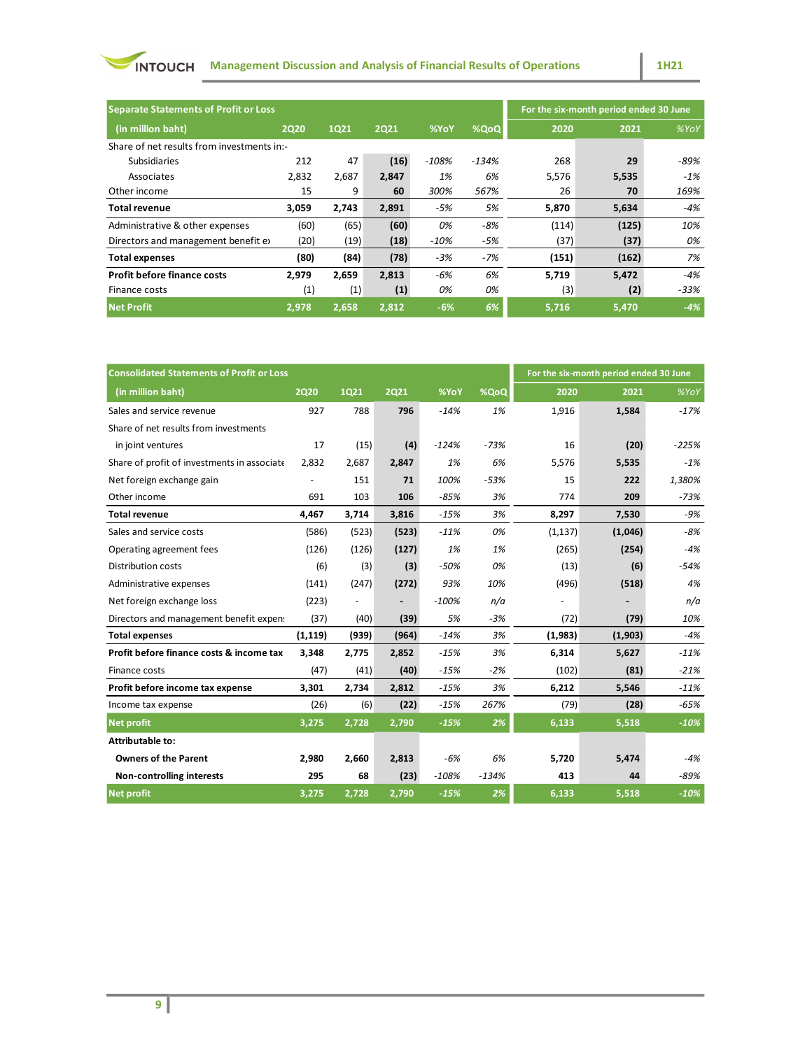

| <b>INTOUCH</b><br><b>Management Discussion and Analysis of Financial Results of Operations</b> |             |             |             |         |         |                                        |         | <b>1H21</b> |
|------------------------------------------------------------------------------------------------|-------------|-------------|-------------|---------|---------|----------------------------------------|---------|-------------|
|                                                                                                |             |             |             |         |         |                                        |         |             |
| <b>Separate Statements of Profit or Loss</b>                                                   |             |             |             |         |         | For the six-month period ended 30 June |         |             |
|                                                                                                |             |             |             |         |         |                                        |         |             |
| (in million baht)                                                                              | <b>2Q20</b> | <b>1Q21</b> | <b>2Q21</b> | %YoY    | %QoQ    | 2020                                   | 2021    | %YoY        |
| Share of net results from investments in:-<br>Subsidiaries                                     | 212         | 47          | (16)        | $-108%$ | $-134%$ | 268                                    | 29      | $-89%$      |
| Associates                                                                                     | 2,832       | 2,687       | 2,847       | 1%      | 6%      | 5,576                                  | 5,535   | $-1%$       |
| Other income                                                                                   | 15          | 9           | 60          | 300%    | 567%    | 26                                     | 70      | 169%        |
| <b>Total revenue</b>                                                                           | 3,059       | 2,743       | 2,891       | -5%     | 5%      | 5,870                                  | 5,634   | $-4%$       |
| Administrative & other expenses                                                                | (60)        | (65)        | (60)        | 0%      | $-8%$   | (114)                                  | (125)   | 10%         |
| Directors and management benefit ex                                                            | (20)        | (19)        | (18)        | $-10%$  | $-5%$   | (37)                                   | (37)    | 0%          |
| <b>Total expenses</b>                                                                          | (80)        | (84)        | (78)        | -3%     | $-7%$   | (151)                                  | (162)   | 7%          |
| Profit before finance costs                                                                    | 2,979       | 2,659       | 2,813       | $-6%$   | 6%      | 5,719                                  | 5,472   | $-4%$       |
| Finance costs                                                                                  | (1)         | (1)         | (1)         | 0%      | 0%      | (3)                                    | (2)     | $-33%$      |
| <b>Net Profit</b>                                                                              | 2,978       | 2,658       | 2,812       | $-6%$   | 6%      | 5,716                                  | 5,470   | $-4%$       |
|                                                                                                |             |             |             |         |         |                                        |         |             |
|                                                                                                |             |             |             |         |         |                                        |         |             |
|                                                                                                |             |             |             |         |         |                                        |         |             |
| <b>Consolidated Statements of Profit or Loss</b>                                               |             |             |             |         |         | For the six-month period ended 30 June |         |             |
| (in million baht)                                                                              | <b>2Q20</b> | 1Q21        | <b>2Q21</b> | %YoY    | %QoQ    | 2020                                   | 2021    | %YoY        |
| Sales and service revenue                                                                      | 927         | 788         | 796         | $-14%$  | 1%      | 1,916                                  | 1,584   | $-17%$      |
| Share of net results from investments                                                          |             |             |             |         |         |                                        |         |             |
| in joint ventures                                                                              | 17          | (15)        | (4)         | $-124%$ | $-73%$  | 16                                     | (20)    | $-225%$     |
| Share of profit of investments in associate                                                    | 2,832       | 2,687       | 2,847       | 1%      | 6%      | 5,576                                  | 5,535   | $-1\%$      |
| Net foreign exchange gain                                                                      | $\sim$      | 151         | 71          | 100%    | $-53%$  | 15                                     | 222     | 1,380%      |
| Other income                                                                                   | 691         | 103         | 106         | $-85%$  | 3%      | 774                                    | 209     | $-73%$      |
| <b>Total revenue</b>                                                                           | 4,467       | 3,714       | 3,816       | $-15%$  | 3%      | 8,297                                  | 7,530   | $-9%$       |
| Sales and service costs                                                                        |             |             |             |         |         |                                        |         |             |
|                                                                                                | (586)       | (523)       | (523)       | $-11%$  | 0%      | (1, 137)                               | (1,046) | -8%         |

| (in million bant)                                | <b>ZQZ0</b>              | 1Q21                     | <b>2Q21</b>    | %YOY    | %Q0Q    | <b>2020</b> | 2021                                   | %YOY   |
|--------------------------------------------------|--------------------------|--------------------------|----------------|---------|---------|-------------|----------------------------------------|--------|
| Share of net results from investments in:-       |                          |                          |                |         |         |             |                                        |        |
| Subsidiaries                                     | 212                      | 47                       | (16)           | $-108%$ | -134%   | 268         | 29                                     | -89%   |
| Associates                                       | 2,832                    | 2,687                    | 2,847          | 1%      | 6%      | 5,576       | 5,535                                  | $-1%$  |
| Other income                                     | 15                       | 9                        | 60             | 300%    | 567%    | 26          | 70                                     | 169%   |
| <b>Total revenue</b>                             | 3,059                    | 2,743                    | 2,891          | $-5%$   | 5%      | 5,870       | 5,634                                  | -4%    |
| Administrative & other expenses                  | (60)                     | (65)                     | (60)           | 0%      | $-8%$   | (114)       | (125)                                  | 10%    |
| Directors and management benefit ex              | (20)                     | (19)                     | (18)           | $-10%$  | $-5%$   | (37)        | (37)                                   | 0%     |
| <b>Total expenses</b>                            | (80)                     | (84)                     | (78)           | $-3%$   | $-7%$   | (151)       | (162)                                  | 7%     |
| <b>Profit before finance costs</b>               | 2,979                    | 2,659                    | 2,813          | $-6%$   | 6%      | 5,719       | 5,472                                  | $-4%$  |
| Finance costs                                    | (1)                      | (1)                      | (1)            | 0%      | 0%      | (3)         | (2)                                    | -33%   |
| <b>Net Profit</b>                                | 2,978                    | 2,658                    | 2,812          | $-6%$   | $6\%$   | 5,716       | 5,470                                  | $-4%$  |
|                                                  |                          |                          |                |         |         |             |                                        |        |
|                                                  |                          |                          |                |         |         |             |                                        |        |
| <b>Consolidated Statements of Profit or Loss</b> |                          |                          |                |         |         |             | For the six-month period ended 30 June |        |
| (in million baht)                                | <b>2Q20</b>              | 1Q21                     | <b>2Q21</b>    | %YoY    | %QoQ    | 2020        | 2021                                   | %YoY   |
| Sales and service revenue                        | 927                      | 788                      | 796            | $-14%$  | 1%      | 1,916       | 1,584                                  | $-17%$ |
| Share of net results from investments            |                          |                          |                |         |         |             |                                        |        |
| in joint ventures                                | 17                       | (15)                     | (4)            | $-124%$ | -73%    | 16          | (20)                                   | -225%  |
| Share of profit of investments in associate      | 2,832                    | 2,687                    | 2,847          | 1%      | 6%      | 5,576       | 5,535                                  | $-1%$  |
| Net foreign exchange gain                        | $\overline{\phantom{a}}$ | 151                      | 71             | 100%    | $-53%$  | 15          | 222                                    | 1,380% |
| Other income                                     | 691                      | 103                      | 106            | $-85%$  | 3%      | 774         | 209                                    | -73%   |
| <b>Total revenue</b>                             | 4,467                    | 3,714                    | 3,816          | $-15%$  | 3%      | 8,297       | 7,530                                  | -9%    |
| Sales and service costs                          | (586)                    | (523)                    | (523)          | $-11%$  | 0%      | (1, 137)    | (1,046)                                | -8%    |
| Operating agreement fees                         | (126)                    | (126)                    | (127)          | 1%      | 1%      | (265)       | (254)                                  | $-4%$  |
|                                                  |                          |                          |                |         | 0%      |             |                                        |        |
| Distribution costs                               | (6)                      | (3)                      | (3)            | $-50%$  |         | (13)        | (6)                                    | -54%   |
| Administrative expenses                          | (141)                    | (247)                    | (272)          | 93%     | 10%     | (496)       | (518)                                  | 4%     |
| Net foreign exchange loss                        | (223)                    | $\overline{\phantom{a}}$ | $\blacksquare$ | $-100%$ | n/a     |             | $\overline{\phantom{0}}$               | n/a    |
| Directors and management benefit expen:          | (37)                     | (40)                     | (39)           | 5%      | -3%     | (72)        | (79)                                   | 10%    |
| <b>Total expenses</b>                            | (1, 119)                 | (939)                    | (964)          | $-14%$  | 3%      | (1,983)     | (1,903)                                | $-4%$  |
| Profit before finance costs & income tax         | 3,348                    | 2,775                    | 2,852          | $-15%$  | 3%      | 6,314       | 5,627                                  | $-11%$ |
| Finance costs                                    | (47)                     | (41)                     | (40)           | $-15%$  | $-2%$   | (102)       | (81)                                   | $-21%$ |
| Profit before income tax expense                 | 3,301                    | 2,734                    | 2,812          | $-15%$  | 3%      | 6,212       | 5,546                                  | $-11%$ |
| Income tax expense                               | (26)                     | (6)                      | (22)           | $-15%$  | 267%    | (79)        | (28)                                   | $-65%$ |
| Net profit                                       | 3,275                    | 2,728                    | 2,790          | $-15%$  | 2%      | 6,133       | 5,518                                  | $-10%$ |
| Attributable to:                                 |                          |                          |                |         |         |             |                                        |        |
|                                                  | 2,980                    | 2,660                    | 2,813          | -6%     | 6%      | 5,720       | 5,474                                  | $-4%$  |
| <b>Owners of the Parent</b>                      |                          |                          | (23)           | $-108%$ | $-134%$ | 413         | 44                                     | -89%   |
| Non-controlling interests                        | 295                      | 68                       |                |         |         |             |                                        |        |